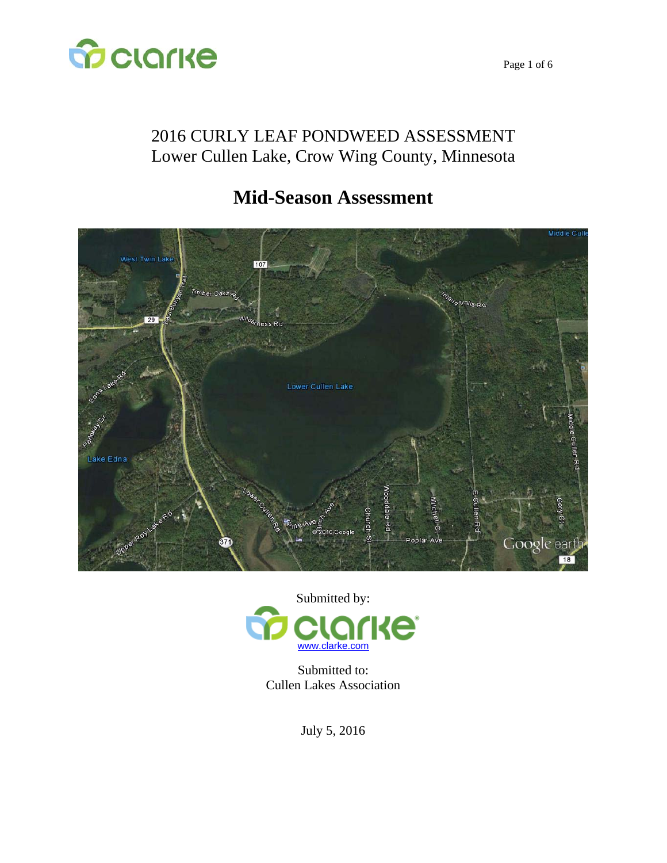

## 2016 CURLY LEAF PONDWEED ASSESSMENT Lower Cullen Lake, Crow Wing County, Minnesota

# **Mid-Season Assessment**





Submitted to: Cullen Lakes Association

July 5, 2016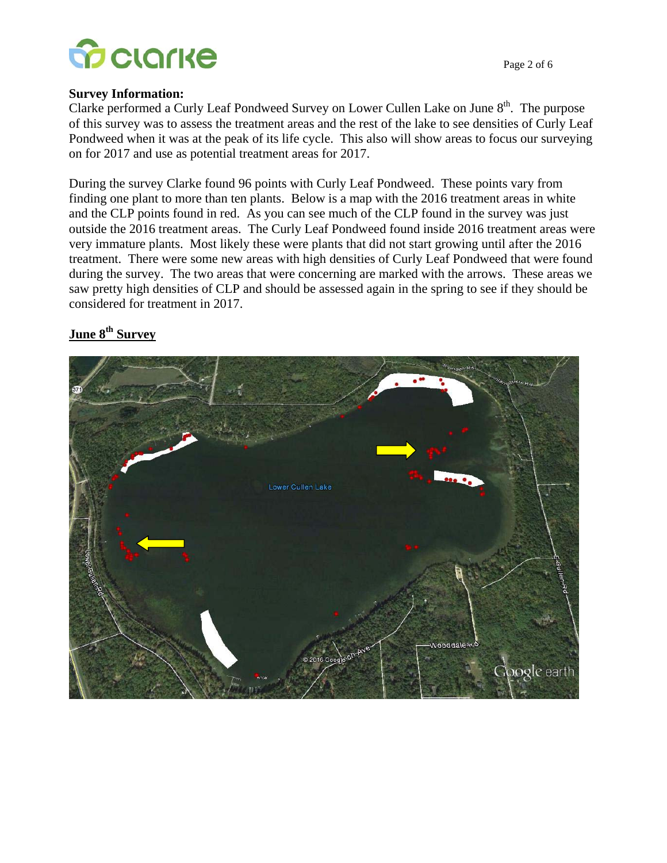

#### **Survey Information:**

Clarke performed a Curly Leaf Pondweed Survey on Lower Cullen Lake on June  $8<sup>th</sup>$ . The purpose of this survey was to assess the treatment areas and the rest of the lake to see densities of Curly Leaf Pondweed when it was at the peak of its life cycle. This also will show areas to focus our surveying on for 2017 and use as potential treatment areas for 2017.

During the survey Clarke found 96 points with Curly Leaf Pondweed. These points vary from finding one plant to more than ten plants. Below is a map with the 2016 treatment areas in white and the CLP points found in red. As you can see much of the CLP found in the survey was just outside the 2016 treatment areas. The Curly Leaf Pondweed found inside 2016 treatment areas were very immature plants. Most likely these were plants that did not start growing until after the 2016 treatment. There were some new areas with high densities of Curly Leaf Pondweed that were found during the survey. The two areas that were concerning are marked with the arrows. These areas we saw pretty high densities of CLP and should be assessed again in the spring to see if they should be considered for treatment in 2017.

#### June 8<sup>th</sup> Survey

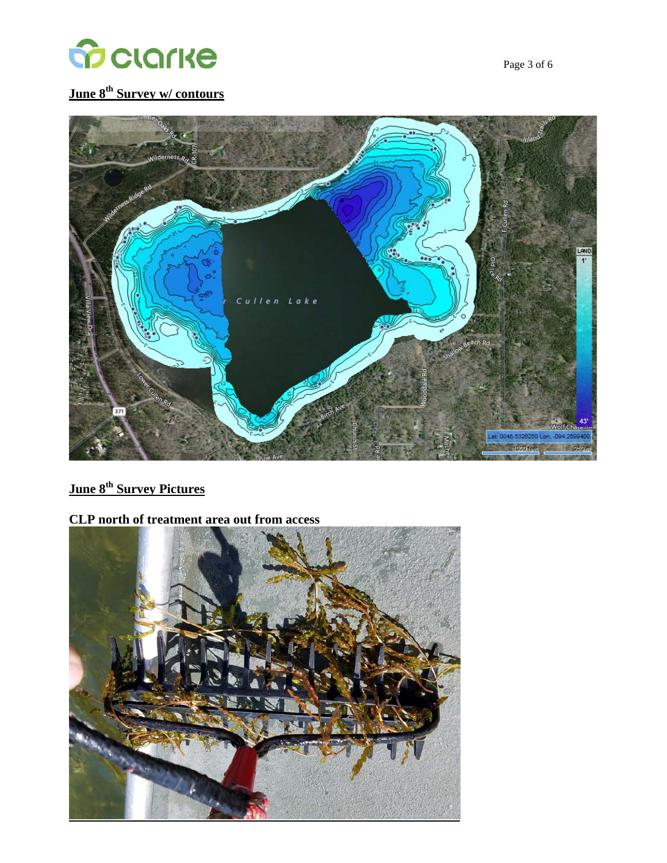

## **June 8th Survey w/ contours**



### **June 8<sup>th</sup> Survey Pictures**

#### **CLP north of treatment area out from access**

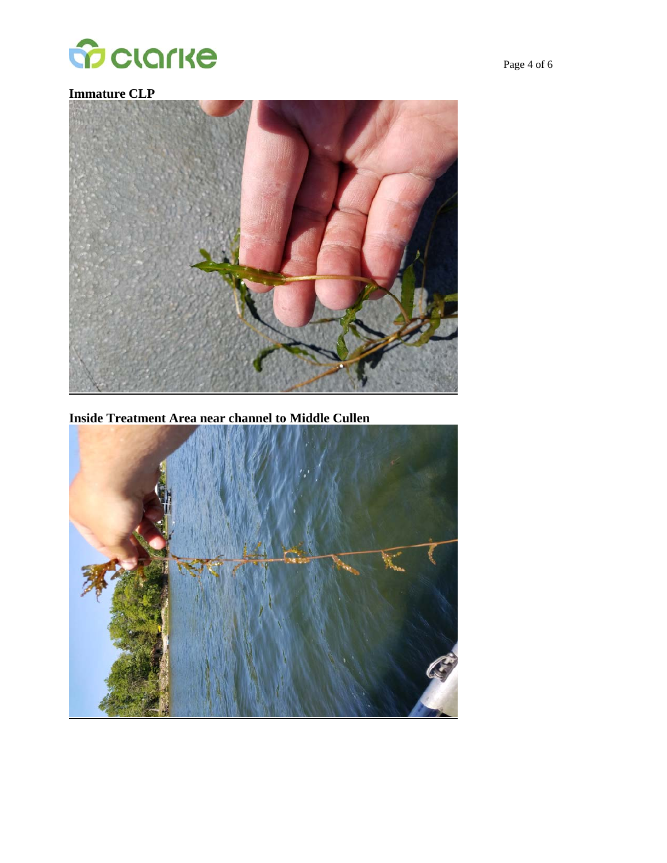

### **Immature CLP**



**Inside Treatment Area near channel to Middle Cullen** 

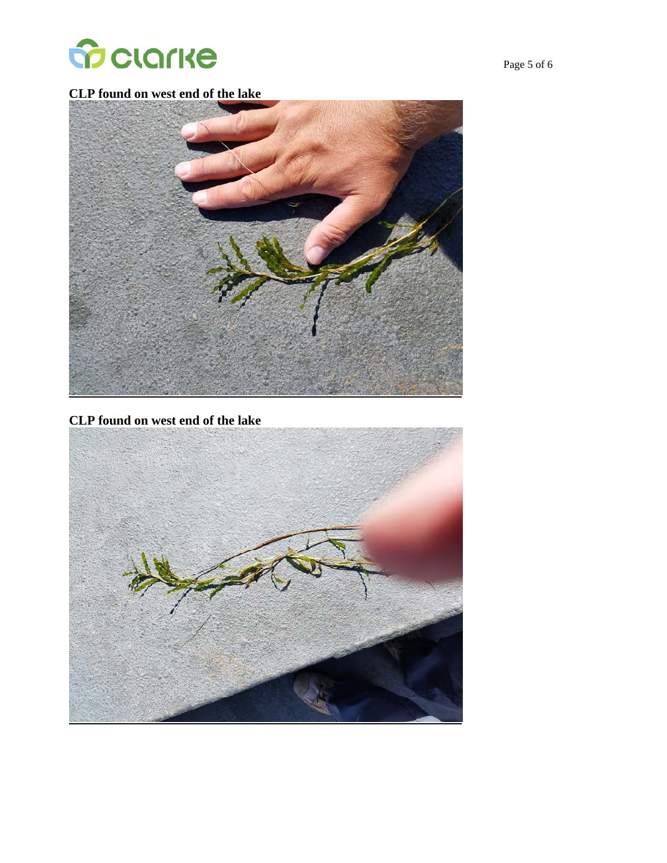

**CLP found on west end of the lake** 



**CLP found on west end of the lake**